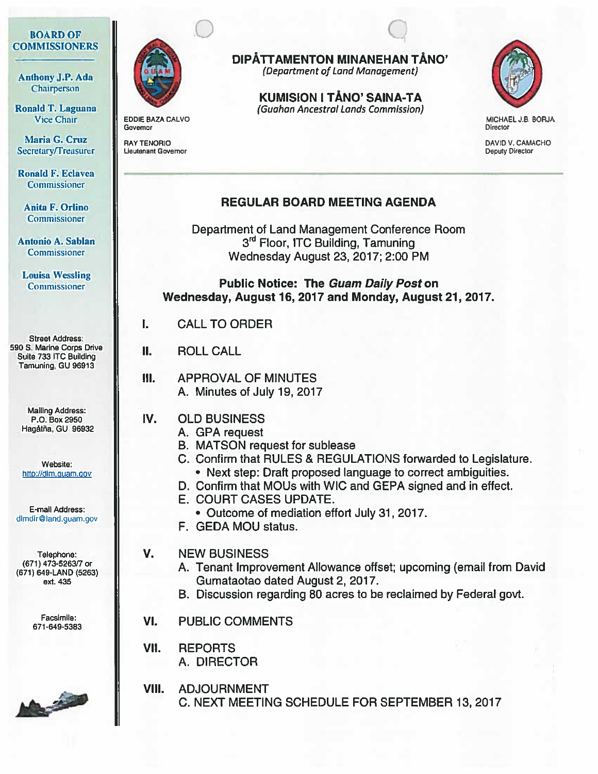## BOARD OF **COMMISSIONERS**

Anthony J.P. Ada **Chairperson** 

Ronald T. Laguana Vice Chair

Maria G. Cruz Secretary/Treasurer

Ronald F. Eclavea Commissioner

Anita F. Orlino Commissioner

Antonio A. Sablan Commissioner

Louisa Wessling Commissioner

Street Address: 590 S. Marine Corps Drive Suite <sup>733</sup> ITC Building Tamuning, GU 96913

> Mailing Address: P.O. Box 2950 Hagåtña, GU 96932

> Website: http://dlm.quam.gov

E-mail Address: dlmdir@land.guam.gov

Telephone: (671) 473-526317 or (671) 649-LAND (5263) ext. 435

> Facsimile: 671-649-5383





 $\bigcirc$ 

EDDIE BAZA CALVO Governor

RAY TENORID Lieutenant Governor

# DIPÄTTAMENTON MINANEHAN TÅNO'

Q

(Department of Land Management)

KUMISION I TÅNO' SAINA-TA (Guahon Ancestral Lands Commission)



MICHAEL J.B. BORJA **Director** 

DAVID V. CAMACHO Deputy Director

# REGULAR BOARD MEETING AGENDA

Department of Land Management Conference Room 3rd Floor, ITC Building, Tamuning Wednesday August 23, 2017; 2:00 PM

Public Notice: The Guam Daily Post on Wednesday, August 16, 2017 and Monday, August 21, 2017.

I. CALL TO ORDER

II. ROLL CALL

# III. APPROVAL OF MINUTES A. Minutes of July 19, 2017

# IV. OLD BUSINESS

- A. GPA reques<sup>t</sup>
	- B. MATSON reques<sup>t</sup> for sublease
	- C. Confirm that RULES & REGULATIONS forwarded to Legislature. Next step: Draft proposed language to correct ambiguities.
	-
	- D. Confirm that MOUs with WIC and GEPA signed and in effect.
	- E. COURT CASES UPDATE.
	- Outcome of mediation effort July 31, 2017.
	- F. GEDA MOU status.
- V. NEW BUSINESS
	- A. Tenant Improvement Allowance offset; upcoming (email from David Gumataotao dated August 2, 2017.
	- B. Discussion regarding 80 acres to be reclaimed by Federal govt.
- VI. PUBLIC COMMENTS
- VII. REPORTS A. DIRECTOR
- VIII. ADJOURNMENT C. NEXT MEETING SCHEDULE FOR SEPTEMBER 13, 2017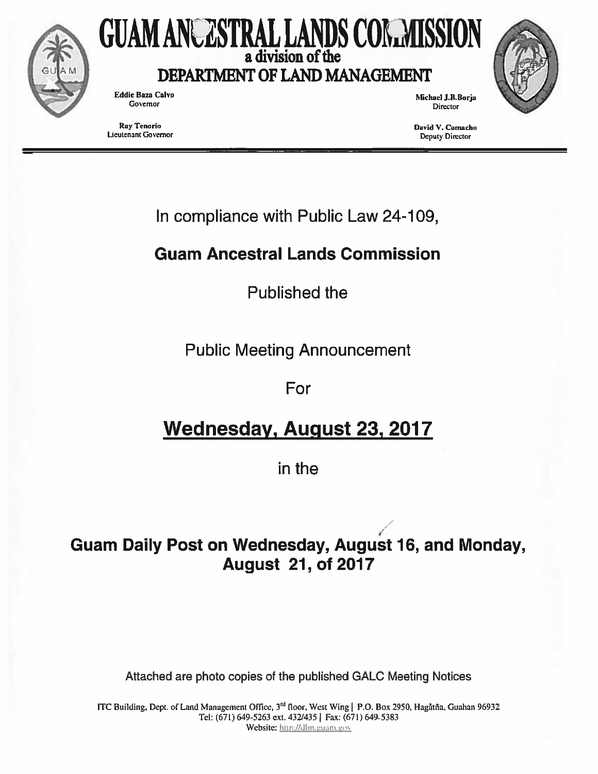

# GUAM ANCESTRAL LANDS COMMISSION a division of the

DEPARTMENT OF LAND MANAGEMENT

Eddie Baza Calvo Michael J.B.Borja Governor

Ray Tenorlo David V. Camacho Lieutenant Governor Deputy Director

Director

In compliance with Public Law 24-109,

# Guam Ancestral Lands Commission

Published the

Public Meeting Announcement

For

# Wednesday, August 23, 2017

in the

# Guam Daily Post on Wednesday, August 16, and Monday, August 21, of 2017

Attached are photo copies of the published GALC Meeting Notices

ITC Building, Dept. of Land Management Office, 3<sup>nd</sup> floor, West Wing | P.O. Box 2950, Hagatna, Guahan 96932 Tel: (67!) 649-5263 ext. 432/4351 Fax: (67!) 649-5383 Website: http://dlm.guam.gov

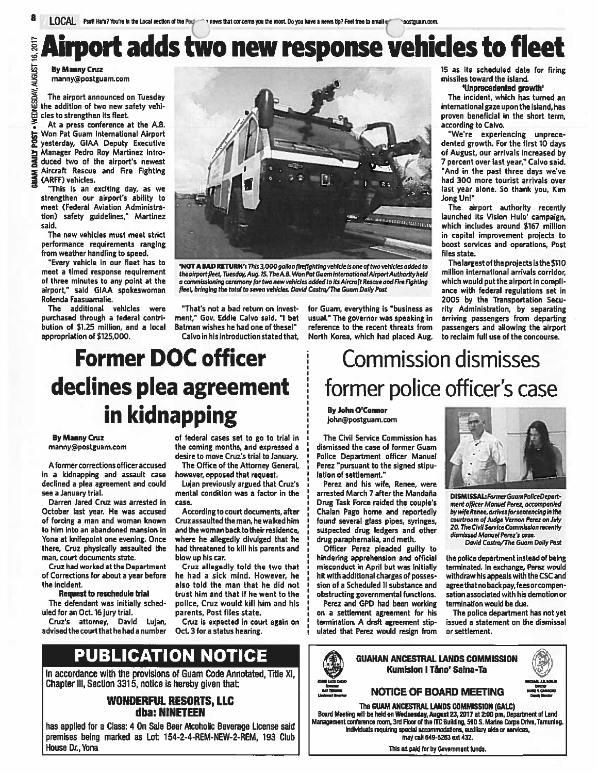**By Manny Cruz** manny@postguam.com

**POST TRIPA** 

**RANTE** 

The airport announced on Tuesday the addition of two new safety vehi cles to strengthen its fleet.

At <sup>a</sup> press conference at the A.B. Won Pat Guam International Airport yesterday, GIAA Deputy Executive Manager Pedro Roy Martinez intro duced two of the airport's newest Aircraft Rescue and Fire Fighting (ARFF) vehicles.

"This is an exciting day, as we strengthen our airport's ability to meet (Federal Aviation Administra tion) safety guidelines," Martinez said,

The new vehicles must meet strict performance requirements ranging from weather handling to speed.

"Every vehicle in our fleet has to meet <sup>a</sup> timed response requirement of three minutes to any point at the airport," said GIAA spokeswoman Rolenda Faasuamalie,

The additional vehicles were purchased through <sup>a</sup> federal contri bution of \$125 million, and <sup>a</sup> local appropriation of \$125,000.



'NOT A BAD RETURN': This 3,000 gallon firefighting vehicle is one of two vehicles added to the airport fleet, Tuesday, Aug. 15. The A.B. Won Pat Guam International Airport Authority held <sup>a</sup> commIssIoning ceremonyfor two new vehicles added to ItsAircroft Rescue andflre fighting fleet, bringing the total to seven vehicles. David Castro/The Guam Daily Post

"That's not <sup>a</sup> bad return on invest ment," Gov. Eddie Calvo said. "I bet Batman wishes he had one of these!" Calvo in his introductionstated that,

for Guam, everything is "business as usual." The governor was speaking in reference to the recent threats from North Korea, which had placed Aug.

15 as its scheduled date for firing missiles toward the island,

'Unprecedented growth'

The incident, which has turned an international gaze upon the island,has proven beneficial in the short term, according to Calvo.

"We're experiencing unprece dented growth. For the first 10 days of August, our arrivals increased by 7 percen<sup>t</sup> over last year," Calvo said. "And in the pas<sup>t</sup> three days we've had 300 more tourist arrivals over last year alone. So thank you, Kim Jong Unl"

The airport authority recently launched its Vision Hulo' campaign. which includes around \$167 million in capital improvement projects to boost services and operations, Post files state.

Thelargest of the projects isthe\$11O million international arrivals corridor, which would pu<sup>t</sup> the airport in compli ance with federal regulations set in 2005 by the Transportation Secu rity Administration, by separating arriving passengers from departing passengers and allowing the airport to reclaim full use of the concourse.

# Former DOC officer declines plea agreemen<sup>t</sup> in kidnapping

#### By Manny Crux manny@postguam.com

A former corrections officer accused in <sup>a</sup> kidnapping and assault case declined <sup>a</sup> plea agreemen<sup>t</sup> and could see <sup>a</sup> January trial.

Darren Jared Cruz was arrested in October last year. He was accused of forcing <sup>a</sup> man and woman known to him into an abandoned mansion in Vona at knifepoint one evening, Once there, Cruz physically assaulted the man, court documents state,

Cruz had worked at the Department of Corrections for about <sup>a</sup> year before the incident,

Request to reschedule trial

The defendant was initially sched uled for an Oct.16 jury trial.

Cruz's attorney, David Lujan, advisedthe courtthat he had <sup>a</sup> number

of federal cases set to go to trial in the coming months, and expressed <sup>a</sup> desire to move Cruz's trial to January.

The Office of the Attorney General, however, opposed that request.

Lujan previously argued that Cruz's mental condition was <sup>a</sup> factor in the case.

According to court documents, after Cruzassaulted the man, he walked him and the woman back to their residence. where he allegedly divulged that he had threatened to kill his parents and blow up his car.

Crux allegedly told the two that he had <sup>a</sup> sick mind. However, he also told the man that he did not trust him and that if he went to the police, Crux would kill him and his parents, Post files state.

Cruz is expected in court again on Oct. <sup>3</sup> for <sup>a</sup> status hearing.

# PUBLICATION NOTICE

In accordance with the provisions of Guam Code Annotated, Title XI, Chapter III, Section 3315, notice is hereby given that:

### WONDERFUL RESORTS, LLC dba: NINETEEN

has applied for <sup>a</sup> Class: 4 On Sale Beer Alcoholic Beverage License said premises being marked as Lot: 154-2-4-REM-NEW-2-REM, 193 Club House Dr., Yona

# Commission dismisses former police officer's case

By John O'Connor john@postguam.com

The Civil Service Commission has dismissed the case of former Guam Police Department officer Manuel Perez "pursuant to the signed stipu lation of settlement,"

Perez and his wife, Renee, were arrested March 7 after the Mandaña Drug Task Force raided the couple's Chalan Pago home and reportedly found several glass pipes, syringes, suspected drug ledgers and other drug paraphernalia, and meth.

Officer Perez pleaded guilty to hindering apprehension and official misconduct in April but was initially hit with additional charges of posses sion of <sup>a</sup> Scheduled II substance and obstructing governmental functions.

Perez and GPD had been working on <sup>a</sup> settlement agreemen<sup>t</sup> for his termination. A draft agreemen<sup>t</sup> stip ulated that Perez would resign from



DISMISSAL: Former Guam PoliceDepartment officer Manuel Perez, accompanied by wifeRenee, arrivesforsentencing in the courtroom of Judge Vernon Perez on July 20. The Civil Service Commission recently dismissed Manuel Perez's case.

David Castro/The Guam Daily Past

the police department instead of being terminated. In exchange, Perez would withdraw his appeals with the CSC and agree that no back pay, fees or compensation associated with his demotion or termination would be due,

The police department has not ye<sup>t</sup> issued <sup>a</sup> statement on the dismissal or settlement,





The GUAM ANCESTRAL LANDS COMMISSION (GALC)

Board Meeting will be held on Wednesday, August 23, 2017 at 2:00 pm, Department of Land Management conference room, 3rd Floor of the ftC BuIlding, <sup>590</sup> 5. Marine Corps DrIve, Tamunlng. IndIvIduals requiring special accommodations, auxIliary aids or services, may call 649-5263 ext 432.

This ad paid for by Government funds.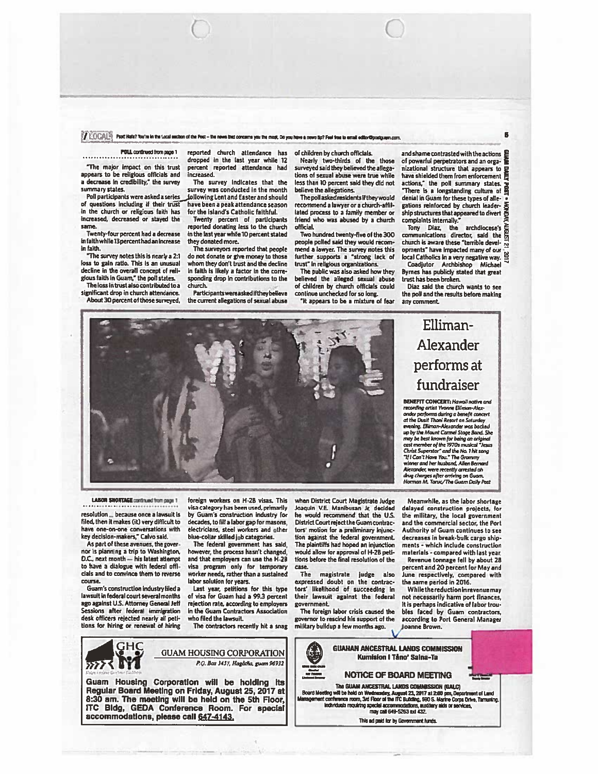#### $I \to \mathrm{COCAL}$  Psyt Hafa? You're in the Local section of the Post – the news that concerne you the most. Do you have a news tip? Feel free to email editor@postgram.com,

The major impact on this trust appears to be religious officials and a decrease in credibility," the survey The survey indicates that the survey was conducted in the month

of questions including if their trust have been a peak attendance seas in the church or religious faith has for the island's Catholic faithful. in the church or religious faith has increased, decreased or stayed the

Twenty'four percen<sup>t</sup> had <sup>a</sup> decrease hi faith while 13 percen<sup>t</sup> had an increase in faith.

"The survey notes this is nearly <sup>a</sup> 21 loss to gain ratio. This is an unusual decline in the overall concept of religious faith in Guam," the poll states.

The loss in trust also contributed to a significant drop in church attendance. About 30 percen<sup>t</sup> of those surveyed,

POLL continued from page 1 reported church attendance has dropped in the last year while 12 percen<sup>t</sup> reported attendance had Increased.

survey was conducted in the month<br>following Lent and Easter and should Poll participants were asked a series, joilowing Lent and Easter and should<br>f questions including if their trust have been a peak attendance season

increased, decreased or stayed the Twenty percen<sup>t</sup> of participants same, reported donating less to the church in the last year while 10 percent stated they donated more.

The surveyors reported that people do not donate or give money to those whom they don't trust and the decline in faith is likely <sup>a</sup> factor in the cone' sponding drop in contributions to the church.

Participantswereasked if they believe the current allegations of seauai abuse of children by church officials.

Nearly two'thirds ol the those surveyed said they believed the allegations of sesual abuse were true while less than 10 percen<sup>t</sup> said they did not believe the allegations.

The poil asked residents ifthey would recommend a lawyer or a church-affillated process to <sup>a</sup> family member or friend who was abused by <sup>a</sup> church official.

Two hundred twenty-five of the 300 people polled said they would recom mend a lawyer. The survey notes this<br>further supports a "strong lack of trust" in religious organizations.

The public was also asked how they believed the alleged senual abuse of children by church officials could continue unchecked for so long.

'It appears to be <sup>a</sup> mixture of fear

and shame contrasted with the actions  $\overline{\mathbf{F}}$ of powerful perpetrators and an orga nizational structure that appears to have shielded them from enforcement actions," the poll summary states.<br>"There is a longstanding culture of **p** denial in Guam for these types of allegations reinforced by church leader' ship structures that appeared to divert complaints internally," Tony Diaz. the archdiocese's

6

iony Diaz, the archdiocese's<br>communications director, said the church is aware these "terrible developments" have impacted many of our local Catholics in a very negative way. 9

Coadjutor Archbishop Michael Byrnes has publidy stated that grea<sup>t</sup> trust has been broken.

Diaz said the church wants to see the poll and the results before making any comment.

# Elliman-Alexander performs at fundraiser

BENEFIT CONCERT: Hawaii native and recording artist Yvonne Elliman-Alex-<br>ander performs during a benefit concert<br>at the Dusit Thani Resort on Saturday<br>evening. Elliman-Alexander was backed up by the Mount Cormel Stoce Bond. She may be best known for being an original<br>cast member of the 1970s musical "Jews Christ Superstar" and the No. 1 hit song<br>"If I Can't Have You." The Grammy winner and her husband. Ailea Bernard nder, were recently arres drug charges after arriving on Guam.<br>Norman M. Taruc/The Guam Daily Post

Meanwhile, as the labor shortage delayed construction projects, for the military, the local governmen<sup>t</sup> and the commercial sector, the Port Authority of Guam continues to see decreases in break-bulk cargo ship ments - which include construction materials 'compared with last year.

Revenue tonnage fell by about 28 percen<sup>t</sup> and 20 percen<sup>t</sup> for May and June respectively, compared with the same period in 2016.

Whilethe reductioninrevenuemay not necessarily harm port finances, It is perhaps indicative of labor trou bles faced by Guam contractors, according to Port General Manager Joanne Brown,



**LABOR SHORTAGE** continued from page 1

resolution ... because once a lawsuit is filed, then it makes (it) very difficult to have one-on'one conversations with key decision-makers," Calvo said.

As part of these avenues, the gover nor Is planning <sup>a</sup> trip to Washington, D.C., nest month — his latest attempt to have <sup>a</sup> dialogue with federal offi cIals and to convince them to reverse course,

Guam's construction industry filed <sup>a</sup> lawsuit in federal court several months ego against U.S. Attorney General Jeff Sessions after federal immigration desk officers rejected nearly eli peti. tions for hiring or renewal of hiring

foreign workers on H-2B visas. This visa category has been used, primarily by Guam's construction Industry for decades, to fill <sup>a</sup> labor gap for masons, electricians, steel workers and other blue'coilar skilled job categories.

The federal governmen<sup>t</sup> has said, however, the process hasn't changed, and that employers can use the H'ZB visa program only for temporary worker needs, rather than <sup>a</sup> sustained labor solution for years.

Last year, petitions for this type of visa for Guam had <sup>a</sup> 99.3 percen<sup>t</sup> rejection rate, according to employers in the Guam Contractors Association who filed the lawsuit

The contractors recently hit a snag

when District Court Magistrate Judge Joaquin V.E. Manibusan Jr. decided he would recommend that the U.S. District Court reject the Guam contrac tors' motion for <sup>a</sup> preliminary injunc tion against the federal governmen<sup>t</sup> The plaintiffs had hoped an injunction would allow for approval of H'2B peti tions before the final resolution of the case.

The magistrate judge also expressed doubt on the contrac tors' likelihood of succeeding in their lawsuit against the federal government.

The foreign labor crisis caused the governor to rescind his suppor<sup>t</sup> ci the military buildup <sup>a</sup> few months ago.





Guam Housing Corporation will be holding Its Regular Board Meeting on FrIday, August 25, 2011 at 8:30 am. The meetIng wlil be held on the 5th Floor, ITC Bldg, GEDA Conference Room. For special accommodations, please call 647-4143.

The GUAM ANCESTRAL LANDS COMMISSION (GALC)<br>Board Meeting will be held on Wednesday, August 23, 2017 at 2:00 pm, Department of Land<br>lanagement confessions, 3rd Floor of the ITC Building, 590 S. Marine Corps Drive, Tarmaning may call 649-5263 axi 432.

'/

4% GUAHAN ANCESTRAL LANDS COMMISSiON Kumision I Tano' Salna-Ta NOTICE OF BOARD MEETING

This ad paid for by Government hinds.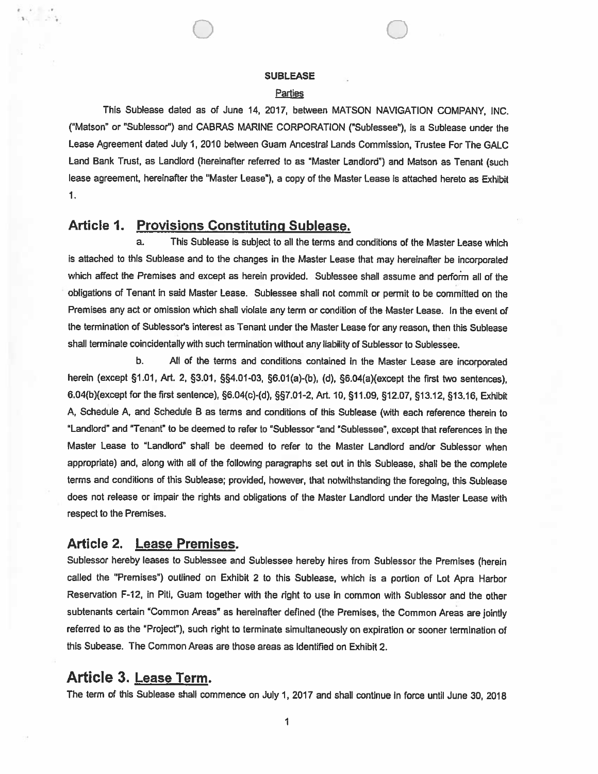0 0

#### **Parties**

This Sublease dated as of June 14, 2017, between MATSON NAVIGATION COMPANY, INC. ("Matson" or 'Sublessor") and CABRAS MARINE CORPORATION ("Sublessee"), is <sup>a</sup> Sublease under the Lease Agreement dated July 1, 2010 between Guam Ancestral Lands Commission, Trustee For The GALC Land Bank Trust, as Landlord (hereinafter referred to as "Master Landlord") and Matson as Tenant (such lease agreement, hereinafter the "Master Lease"), <sup>a</sup> copy of the Master Lease is attached hereto as Exhibit 1.

# Article 1. Provisions Constituting Sublease,

a. This Sublease is subject to all the terms and conditions of the Master Lease which is attached to this Sublease and to the changes in the Master Lease that may hereinafter be incorporated which affect the Premises and excep<sup>t</sup> as herein provided. Sublessee shall assume and perform all of the obligations of Tenant in said Master Lease. Sublessee shall not commit or permit to be committed on the Premises any act or omission which shall violate any term or condition of the Master Lease. In the event of the termination of Sublessor's interest as Tenant under the Master Lease for any reason, then this Sublease shall terminate coincidentally with such termination without any liability of Sublessor to Sublessee.

b. All of the terms and conditions contained in the Master Lease are incorporated herein (except §1.01, Art. 2, §3.01, §§4.01-03, §6.01(a)-(b), (d), §6.04(a)(except the first two sentences), 6.04(b)(except for the first sentence), §6.04(c)-(d), §7.01-2, Art. 10, §11.09, §12.07, §13.12, §13.16, Exhibit A, Schedule A, and Schedule <sup>B</sup> as terms and conditions of this Sublease (with each reference therein to 'Landlord" and "Tenant" to be deemed to refer to "Sublessor "and "Sublessee", excep<sup>t</sup> that references in the Master Lease to "Landlord" shall be deemed to refer to the Master Landlord and/or Sublessor when appropriate) and, along with all of the following paragraphs set out in this Sublease, shall be the complete terms and conditions of this Sublease; provided, however, that notwithstanding the foregoing, this Sublease does not release or impair the rights and obligations of the Master Landlord under the Master Lease with respec<sup>t</sup> to the Premises.

# Article 2. Lease Premises.

Sublessor hereby leases to Sublessee and Sublessee hereby hires from Sublessor the Premises (herein called the "Premises") outlined on Exhibit <sup>2</sup> to this Sublease, which is <sup>a</sup> portion of Lot Apra Harbor Reservation F-12, in Piti, Guam together with the right to use in common with Sublessor and the other subtenants certain "Common Areas" as hereinafter defined (the Premises, the Common Areas are jointly referred to as the "Project"), such right to terminate simultaneously on expiration or sooner termination of this Subease. The Common Areas are those areas as identified on Exhibit 2.

# Article 3. Lease Term.

The term of this Sublease shall commence on July 1, 2017 and shall continue in force until June 30, 2018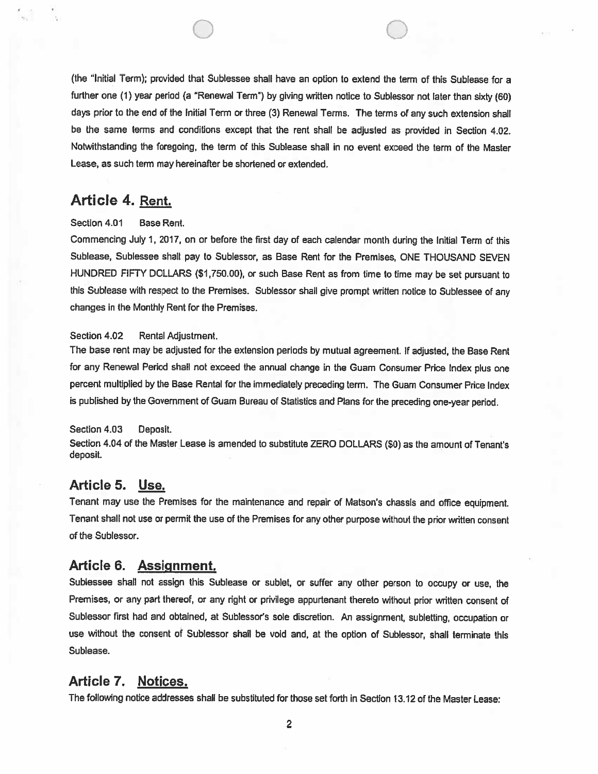(the "Initial Term); provided that Sublessee shall have an option to extend the term of this Sublease for <sup>a</sup> further one (1) year period (a 'Renewal Term") by <sup>g</sup>iving written notice to Sublessor not later than sixty (60) days prior to the end of the Initial Term or three (3) Renewal Terms, The terms of any such extension shall be the same terms and conditions excep<sup>t</sup> that the rent shall be adjusted as provided in Section 4.02, Notwithstanding the foregoing, the term of this Sublease shall in no event exceed the term of the Master Lease, as such term may hereinafter be ahortened or extended.

0 0

# Article 4. Rent.

### Section 4.01 Base Rent.

Commencing July 1, 2017, on or before the first day of each calendar month during the initial Term of this Sublease, Sublessee shall pay to Sublessor, as Base Rent for the Premises, ONE THOUSAND SEVEN HUNDRED FIFTY DOLLARS (\$1,750.00), or such Base Rent as from time to time may be set pursuan<sup>t</sup> to this Sublease with respec<sup>t</sup> to the Premises. Sublesaor shall <sup>g</sup>ive promp<sup>t</sup> written notice to Sublessee of any changes in the Monthly Rent for the Premises.

### Section 4.02 Rental Adjustment.

The base rent may be adjusted for the extension periods by mutual agreement. If adjusted, the Base Rent for any Renewal Period shall not exceed the annual change in the Guam Consumer Price Index <sup>p</sup>lus one percen<sup>t</sup> multiplied by the Base Rental for the immediately preceding term. The Guam Consumer Price Index is published by the Government of Guam Bureau of Statistics and Plans for the preceding one-year period.

## Section 4.03 Deposit.

Section 4.04 of the Master Lease is amended to substitute ZERO DOLLARS (\$0) as the amount of Tenant's deposit.

# Article 5. Use.

Tenant may use the Premises for the maintenance and repair of Matson's chassis and office equipment. Tenant shall not use or permit the use of the Premises for any other purpose without the prior written consent of the Sublessor.

## Article 6. Assignment.

Sublessee shall not assign this Sublease or sublet, or suffer any other person to occupy or use, the Premises, or any par<sup>t</sup> thereof, or any right or privilege appurtenant thereto without prior written consent of Subiessor first had and obtained, at Sublessor's sole discretion. An assignment, subletting, occupation or use without the consent of Sublessor shall be void and, at the option of Sublessor, shall terminate this Sublease.

# Article 7. Notices.

The following notice addresses shall be substituted for those set forth in Section 13.12 of the Master Lease:

2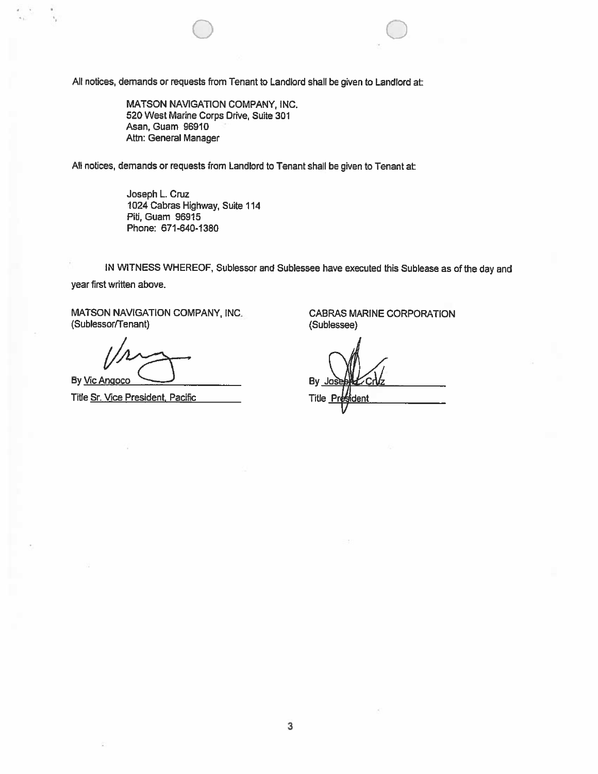All notices, demands or requests from Tenant to Landlord shall be given to Landlord at

MATSON NAVIGATION COMPANY, INC. 520 West Marine Corps Drive, Suite 301 Asan, Guam 96910 Attn: General Manager

All notices, demands or requests from Landlord to Tenant shall be given to Tenant at

Joseph L. Cruz 1024 Cabras Highway, Suite 114 Piti, Guam 96915 Phone: 671-640-1380

IN WITNESS WHEREOF, Sublessor and Sublessee have executed this Sublease as of the day and year first written above.

0 0

MATSON NAVIGATION COMPANY, INC. CABRAS MARINE CORPORATION (Sublessorrrenant) (Sublessee)

By <u>Vic Angoco</u> <u>Constantine By Joseph By Joseph By Joseph By Joseph By Joseph By Joseph By Joseph By Joseph By Joseph By Joseph By Joseph By Joseph By Joseph By Joseph By Joseph By Joseph By Joseph By Joseph By Joseph By </u>

Title Sr. Vice President. Pacific Title Title President. Pacific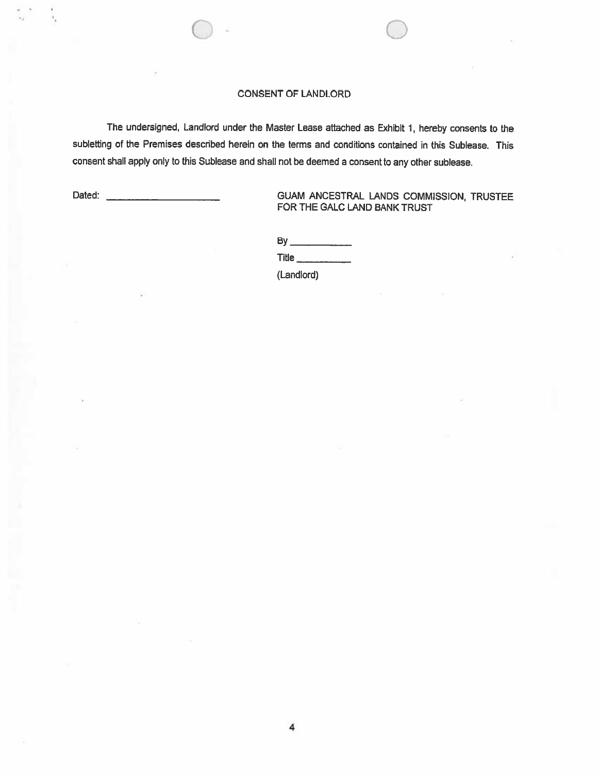### CONSENT OF LANDLORD

 $\circ$   $\circ$ 

The undersigned, Landlord under the Master Lease attached as Exhibit 1, hereby consents to the subletting of the Premises described herein on the terms and conditions contained in this Sublease. This consent shall apply only to this Sublease and shall not be deemed <sup>a</sup> consent to any other sublease. CONSENT OF LANDLORD<br>
The undersigned, Landlord under the Master Lease attached as Exhibit 1, hereby consents to the<br>
subletting of the Premises described herein on the terms and conditions contained in this Sublease. This<br> Title \_\_\_\_\_\_\_\_\_\_\_\_

# FOR THE GALC LAND RANK TRUST

**By** 

(Landlord)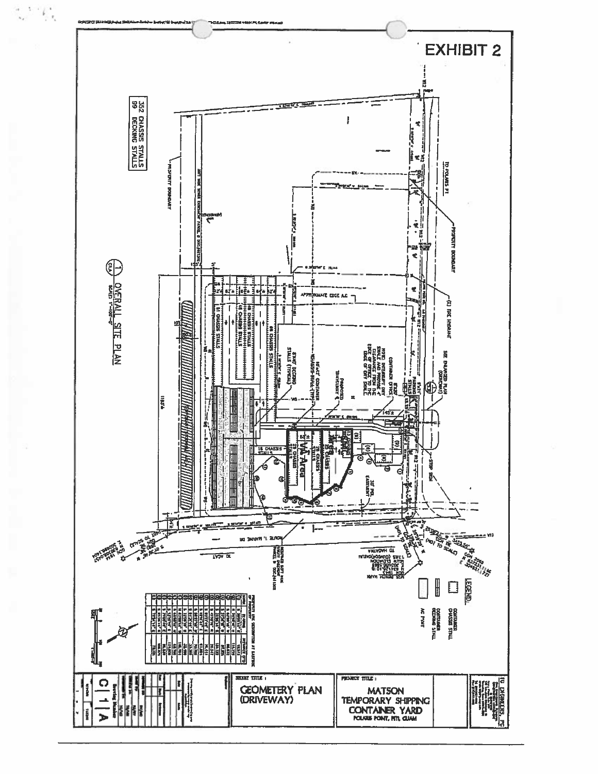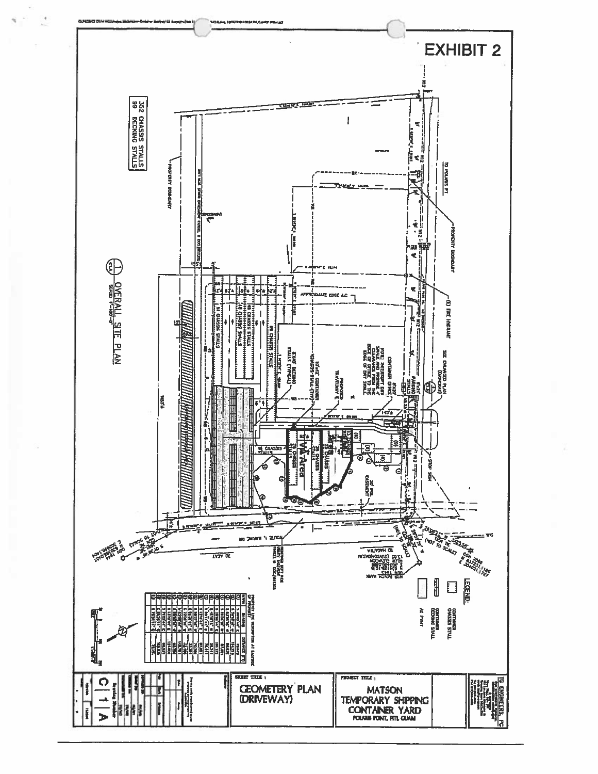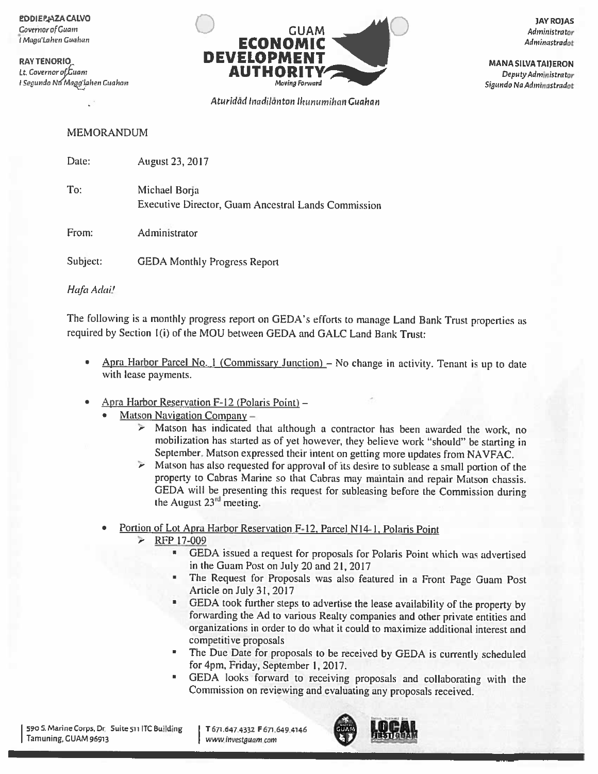**EDDIERAZA CALVO** Covernor of Guam I Maga'Lahen Guahan

**RAY TENORIO** Lt. Governor of Guam I Segundo Na Maggʻlahen Guahan



Aturidād Inadilānton Ikunumihan Guahan

**JAY ROJAS** Administrator Adminastradot

**MANA SILVA TAIJERON** Deputy Administrator Sigundo Na Adminastradot

**MEMORANDUM** 

Date: August 23, 2017

To: Michael Borja Executive Director, Guam Ancestral Lands Commission

From: Administrator

Subject: **GEDA Monthly Progress Report** 

Hafa Adai!

The following is a monthly progress report on GEDA's efforts to manage Land Bank Trust properties as required by Section 1(i) of the MOU between GEDA and GALC Land Bank Trust:

- Apra Harbor Parcel No. 1 (Commissary Junction) No change in activity. Tenant is up to date  $\bullet$ with lease payments.
- Apra Harbor Reservation F-12 (Polaris Point) -
	- Matson Navigation Company  $-$ 
		- $\geq$  Matson has indicated that although a contractor has been awarded the work, no mobilization has started as of yet however, they believe work "should" be starting in September. Matson expressed their intent on getting more updates from NAVFAC.
		- $\triangleright$  Matson has also requested for approval of its desire to sublease a small portion of the property to Cabras Marine so that Cabras may maintain and repair Matson chassis. GEDA will be presenting this request for subleasing before the Commission during the August 23<sup>rd</sup> meeting.
	- Portion of Lot Apra Harbor Reservation F-12, Parcel N14-1, Polaris Point
		- RFP 17-009 ⋗
			- GEDA issued a request for proposals for Polaris Point which was advertised  $\blacksquare$ in the Guam Post on July 20 and 21, 2017
			- The Request for Proposals was also featured in a Front Page Guam Post Article on July 31, 2017
			- GEDA took further steps to advertise the lease availability of the property by forwarding the Ad to various Realty companies and other private entities and organizations in order to do what it could to maximize additional interest and competitive proposals
			- The Due Date for proposals to be received by GEDA is currently scheduled  $\blacksquare$ for 4pm, Friday, September 1, 2017.
			- GEDA looks forward to receiving proposals and collaborating with the  $\blacksquare$ Commission on reviewing and evaluating any proposals received.

590 S. Marine Corps, Dr. Suite 511 ITC Building Tamuning, GUAM 96913

T 671.647.4332 F 671.649.4146 www.investguam.com

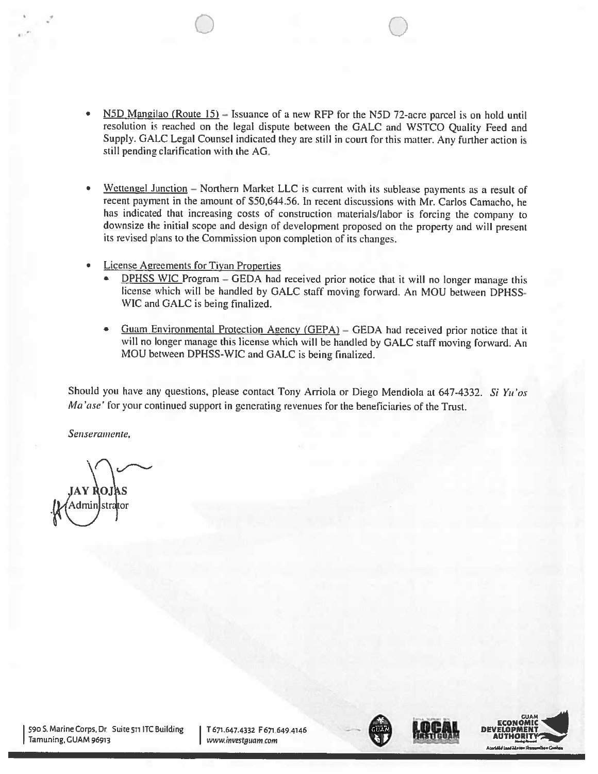• N5D Mangilao (Route 15) — Issuance of <sup>a</sup> new RFP for the N5D 72-acre parce<sup>l</sup> is on hold until resolution is reached on the legal dispute between the GALC and WSTCO Quality Feed and Supply. GALC Legal Counsel indicated they are still in court for this matter. Any further action is still pending clarification with the AG.

0 0

- $Wettengel$  Junction Northern Market LLC is current with its sublease payments as a result of recent payment in the amount of \$50,644.56. In recent discussions with Mr. Carlos Camacho, he has indicated that increasing costs of construction materials/labor is forcing the company to downsize the initial scope and design of development proposed on the property and will present its revised <sup>p</sup>lans to the Commission upon completion of its changes.
- • License Agreements for Tiyan Properties
	- •DPHSS WIC Program - GEDA had received prior notice that it will no longer manage this license which will be handled by GALC staff moving forward. An MOV between DPHSS WIC and GALC is being finalized.
	- • Guam Environmental Protection Agency (GEPA) — GEDA had received prior notice that it will no longer manage this license which will be handled by GALC staff moving forward. An MOU between DPHSS-WIC and GALC is being finalized.

Should you have any questions, please contact Tony Arriola or Diego Mendiola at 647-4332. Si Yu'os Ma'ase' for your continued support in generating revenues for the beneficiaries of the Trust.

Senseramente,

590 S. Marine Corps, Dr. Suite 511 ITC Building | T671.647.4332 F671.649.4146<br>Tamuning, GUAM 96913 | www.investguam.com | www.investguam.com | www.investguam.com |







A,J4J, Jan, J,H, Jan, Dramwelless Cusher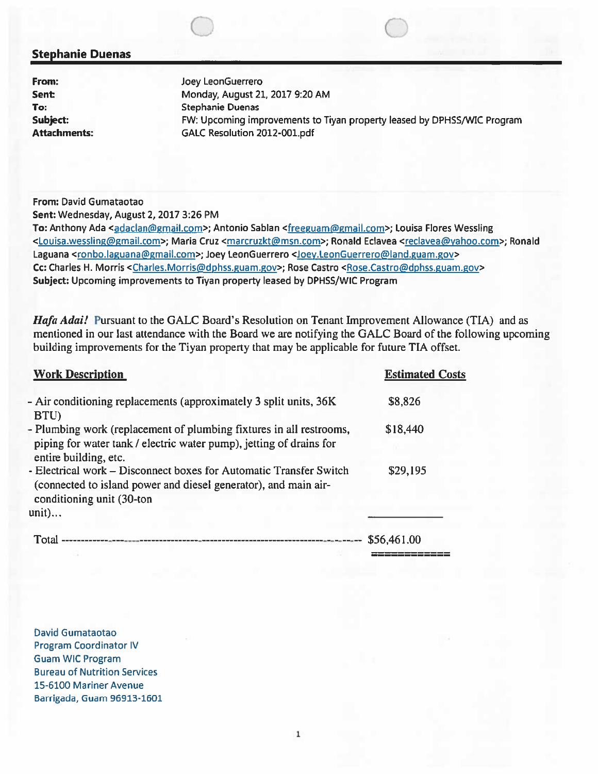## Stephanie Duenas

From: Joey LeonGuerrero Sent: Monday, August 21, 2017 9:20 AM To: Stephanie Duenas Subject: FW: Upcoming improvements to Tiyan property leased by DPHSS/WIC Program Attachments: GALC Resolution 2012-001.pdf

To: Anthony Ada <adaclan@gmail.com>; Antonio Sablan <freeguam@gmail.com>; Louisa Flores Wessling <Louisa.wesslingmail.com>; Maria Cruz <marcruzkt@msn.com>; Ronald Eclavea <reclavea@yahoo.com>; Ronald Laguana <ronbo.laguana@gmail.com>; Joey LeonGuerrero <Joey.LeonGuerrero@land.guam.gov> Cc: Charles H. Morris <Charles.Morris@dphss.guam.gov>; Rose Castro <Rose.Castro@dphss.guam.gov> Subject: Upcoming improvements to Tiyan property leased by DPHSS/WIC Program

Hafa Adai! Pursuant to the GALC Board's Resolution on Tenant Improvement Allowance (TIA) and as mentioned in our last attendance with the Board we are notifying the GALC Board of the following upcoming building improvements for the Tiyan property that may be applicable for future TIA offset.

| <b>Stephanie Duenas</b>                                           |                                                                                                                                                                                                                                                                                                                                                                                                                                                                                                                                                                                                                                                                                                                                                                                                                                                                                                                                                                                                  |                        |
|-------------------------------------------------------------------|--------------------------------------------------------------------------------------------------------------------------------------------------------------------------------------------------------------------------------------------------------------------------------------------------------------------------------------------------------------------------------------------------------------------------------------------------------------------------------------------------------------------------------------------------------------------------------------------------------------------------------------------------------------------------------------------------------------------------------------------------------------------------------------------------------------------------------------------------------------------------------------------------------------------------------------------------------------------------------------------------|------------------------|
| From:<br>Sent:<br>To:<br>Subject:<br><b>Attachments:</b>          | Joey LeonGuerrero<br>Monday, August 21, 2017 9:20 AM<br><b>Stephanie Duenas</b><br>FW: Upcoming improvements to Tiyan property leased by DPHSS/<br>GALC Resolution 2012-001.pdf                                                                                                                                                                                                                                                                                                                                                                                                                                                                                                                                                                                                                                                                                                                                                                                                                  |                        |
| From: David Gumataotao<br>Sent: Wednesday, August 2, 2017 3:26 PM | To: Anthony Ada <adaclan@gmail.com>; Antonio Sablan <freeguam@gmail.com>; Louisa Flores Wo<br/><louisa.wessling@gmail.com>; Maria Cruz <marcruzkt@msn.com>; Ronald Eclavea <reclavea@yah<br>Laguana <ronbo.laguana@gmail.com>; Joey LeonGuerrero <joey.leonguerrero@land.guam.gov><br/>Cc: Charles H. Morris <charles.morris@dphss.guam.gov>; Rose Castro <rose.castro@dphss.guam.gov>;<br/>Subject: Upcoming improvements to Tiyan property leased by DPHSS/WIC Program<br/>Hafa Adai! Pursuant to the GALC Board's Resolution on Tenant Improvement Allowance<br/>mentioned in our last attendance with the Board we are notifying the GALC Board of the fo<br/>building improvements for the Tiyan property that may be applicable for future TIA offset.</rose.castro@dphss.guam.gov></charles.morris@dphss.guam.gov></joey.leonguerrero@land.guam.gov></ronbo.laguana@gmail.com></reclavea@yah<br></marcruzkt@msn.com></louisa.wessling@gmail.com></freeguam@gmail.com></adaclan@gmail.com> |                        |
| <b>Work Description</b>                                           |                                                                                                                                                                                                                                                                                                                                                                                                                                                                                                                                                                                                                                                                                                                                                                                                                                                                                                                                                                                                  | <b>Estimated Costs</b> |
|                                                                   | - Air conditioning replacements (approximately 3 split units, 36K                                                                                                                                                                                                                                                                                                                                                                                                                                                                                                                                                                                                                                                                                                                                                                                                                                                                                                                                | \$8,826                |
| BTU)<br>entire building, etc.                                     | - Plumbing work (replacement of plumbing fixtures in all restrooms,<br>piping for water tank / electric water pump), jetting of drains for                                                                                                                                                                                                                                                                                                                                                                                                                                                                                                                                                                                                                                                                                                                                                                                                                                                       | \$18,440               |
| conditioning unit (30-ton<br>unit)                                | - Electrical work – Disconnect boxes for Automatic Transfer Switch<br>(connected to island power and diesel generator), and main air-                                                                                                                                                                                                                                                                                                                                                                                                                                                                                                                                                                                                                                                                                                                                                                                                                                                            | \$29,195               |
|                                                                   |                                                                                                                                                                                                                                                                                                                                                                                                                                                                                                                                                                                                                                                                                                                                                                                                                                                                                                                                                                                                  | \$56,461.00            |

David Gumataotao Program Coordinator IV Guam WIC Program Bureau of Nutrition Services 15-6100 Mariner Avenue Barrigada, Guam 96913-1601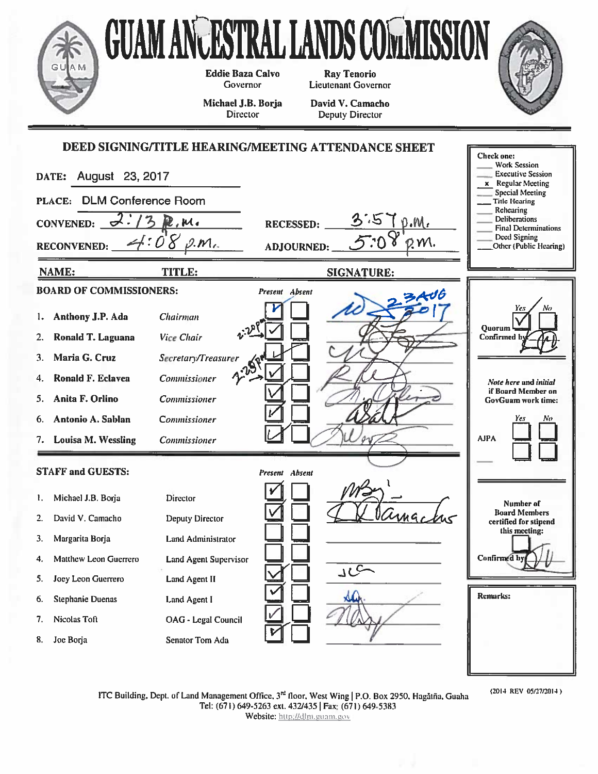

(2014 REV 05/27/2014)

ITC Building, Dept. of Land Management Office, 3<sup>rd</sup> floor, West Wing | P.O. Box 2950, Hagatña, Guaha Tel: (671) 649-5263 ext. 432/435 | Fax: (671) 649-5383 Website: http://dlm.guam.gov